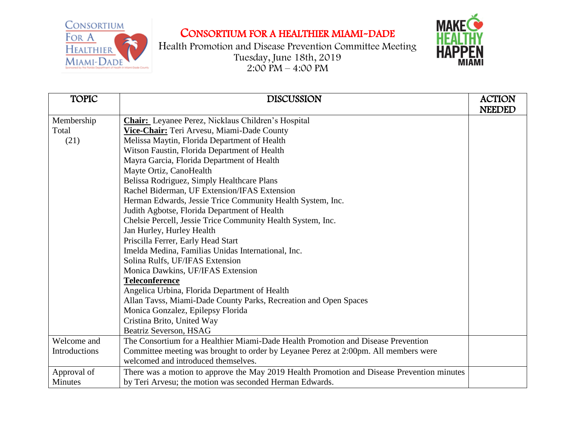

Health Promotion and Disease Prevention Committee Meeting Tuesday, June 18th, 2019  $2:00 \text{ PM} - 4:00 \text{ PM}$ 



| <b>TOPIC</b>  | <b>DISCUSSION</b>                                                                          | <b>ACTION</b> |
|---------------|--------------------------------------------------------------------------------------------|---------------|
|               |                                                                                            | <b>NEEDED</b> |
| Membership    | <b>Chair:</b> Leyanee Perez, Nicklaus Children's Hospital                                  |               |
| Total         | Vice-Chair: Teri Arvesu, Miami-Dade County                                                 |               |
| (21)          | Melissa Maytin, Florida Department of Health                                               |               |
|               | Witson Faustin, Florida Department of Health                                               |               |
|               | Mayra Garcia, Florida Department of Health                                                 |               |
|               | Mayte Ortiz, CanoHealth                                                                    |               |
|               | Belissa Rodriguez, Simply Healthcare Plans                                                 |               |
|               | Rachel Biderman, UF Extension/IFAS Extension                                               |               |
|               | Herman Edwards, Jessie Trice Community Health System, Inc.                                 |               |
|               | Judith Agbotse, Florida Department of Health                                               |               |
|               | Chelsie Percell, Jessie Trice Community Health System, Inc.                                |               |
|               | Jan Hurley, Hurley Health                                                                  |               |
|               | Priscilla Ferrer, Early Head Start                                                         |               |
|               | Imelda Medina, Familias Unidas International, Inc.                                         |               |
|               | Solina Rulfs, UF/IFAS Extension                                                            |               |
|               | Monica Dawkins, UF/IFAS Extension                                                          |               |
|               | <b>Teleconference</b>                                                                      |               |
|               | Angelica Urbina, Florida Department of Health                                              |               |
|               | Allan Tavss, Miami-Dade County Parks, Recreation and Open Spaces                           |               |
|               | Monica Gonzalez, Epilepsy Florida                                                          |               |
|               | Cristina Brito, United Way                                                                 |               |
|               | Beatriz Severson, HSAG                                                                     |               |
| Welcome and   | The Consortium for a Healthier Miami-Dade Health Promotion and Disease Prevention          |               |
| Introductions | Committee meeting was brought to order by Leyanee Perez at 2:00pm. All members were        |               |
|               | welcomed and introduced themselves.                                                        |               |
| Approval of   | There was a motion to approve the May 2019 Health Promotion and Disease Prevention minutes |               |
| Minutes       | by Teri Arvesu; the motion was seconded Herman Edwards.                                    |               |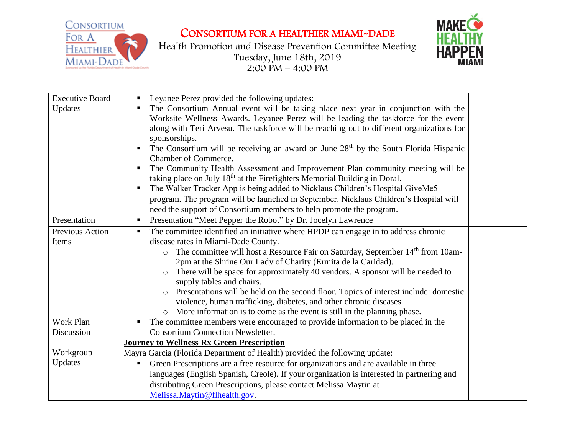



| <b>Executive Board</b> | Leyanee Perez provided the following updates:                                                         |  |
|------------------------|-------------------------------------------------------------------------------------------------------|--|
| Updates                | The Consortium Annual event will be taking place next year in conjunction with the                    |  |
|                        | Worksite Wellness Awards. Leyanee Perez will be leading the taskforce for the event                   |  |
|                        | along with Teri Arvesu. The taskforce will be reaching out to different organizations for             |  |
|                        | sponsorships.                                                                                         |  |
|                        | The Consortium will be receiving an award on June 28 <sup>th</sup> by the South Florida Hispanic<br>ш |  |
|                        | <b>Chamber of Commerce.</b>                                                                           |  |
|                        | The Community Health Assessment and Improvement Plan community meeting will be                        |  |
|                        | taking place on July 18 <sup>th</sup> at the Firefighters Memorial Building in Doral.                 |  |
|                        | The Walker Tracker App is being added to Nicklaus Children's Hospital GiveMe5                         |  |
|                        | program. The program will be launched in September. Nicklaus Children's Hospital will                 |  |
|                        | need the support of Consortium members to help promote the program.                                   |  |
| Presentation           | Presentation "Meet Pepper the Robot" by Dr. Jocelyn Lawrence<br>$\blacksquare$                        |  |
| Previous Action        | The committee identified an initiative where HPDP can engage in to address chronic<br>ш               |  |
| Items                  | disease rates in Miami-Dade County.                                                                   |  |
|                        | The committee will host a Resource Fair on Saturday, September 14 <sup>th</sup> from 10am-<br>$\circ$ |  |
|                        | 2pm at the Shrine Our Lady of Charity (Ermita de la Caridad).                                         |  |
|                        | There will be space for approximately 40 vendors. A sponsor will be needed to                         |  |
|                        | supply tables and chairs.                                                                             |  |
|                        | Presentations will be held on the second floor. Topics of interest include: domestic<br>$\circ$       |  |
|                        | violence, human trafficking, diabetes, and other chronic diseases.                                    |  |
|                        | More information is to come as the event is still in the planning phase.                              |  |
| Work Plan              | The committee members were encouraged to provide information to be placed in the<br>п                 |  |
| Discussion             | <b>Consortium Connection Newsletter.</b>                                                              |  |
|                        | <b>Journey to Wellness Rx Green Prescription</b>                                                      |  |
| Workgroup              | Mayra Garcia (Florida Department of Health) provided the following update:                            |  |
| Updates                | Green Prescriptions are a free resource for organizations and are available in three                  |  |
|                        | languages (English Spanish, Creole). If your organization is interested in partnering and             |  |
|                        | distributing Green Prescriptions, please contact Melissa Maytin at                                    |  |
|                        | Melissa.Maytin@flhealth.gov.                                                                          |  |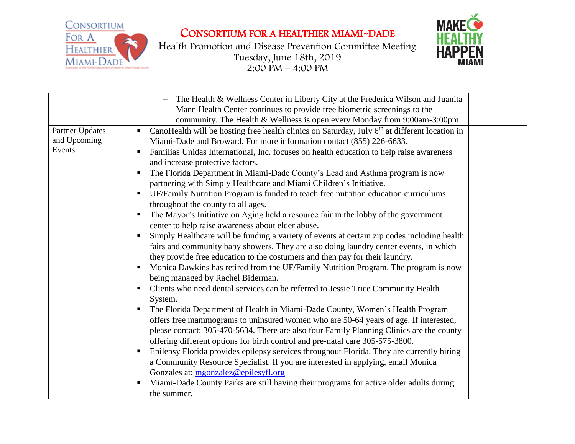

Health Promotion and Disease Prevention Committee Meeting Tuesday, June 18th, 2019  $2:00 \text{ PM} - 4:00 \text{ PM}$ 



|                                           | The Health & Wellness Center in Liberty City at the Frederica Wilson and Juanita                                                                                                                                                                                                                                                                                                                                                                                                                                                                                                                                                                                                                                                                                                                                                                                                                                                                                                                                                               |  |
|-------------------------------------------|------------------------------------------------------------------------------------------------------------------------------------------------------------------------------------------------------------------------------------------------------------------------------------------------------------------------------------------------------------------------------------------------------------------------------------------------------------------------------------------------------------------------------------------------------------------------------------------------------------------------------------------------------------------------------------------------------------------------------------------------------------------------------------------------------------------------------------------------------------------------------------------------------------------------------------------------------------------------------------------------------------------------------------------------|--|
|                                           | Mann Health Center continues to provide free biometric screenings to the                                                                                                                                                                                                                                                                                                                                                                                                                                                                                                                                                                                                                                                                                                                                                                                                                                                                                                                                                                       |  |
|                                           | community. The Health & Wellness is open every Monday from 9:00am-3:00pm                                                                                                                                                                                                                                                                                                                                                                                                                                                                                                                                                                                                                                                                                                                                                                                                                                                                                                                                                                       |  |
| Partner Updates<br>and Upcoming<br>Events | CanoHealth will be hosting free health clinics on Saturday, July $6th$ at different location in<br>п<br>Miami-Dade and Broward. For more information contact (855) 226-6633.<br>Familias Unidas International, Inc. focuses on health education to help raise awareness<br>$\blacksquare$<br>and increase protective factors.<br>The Florida Department in Miami-Dade County's Lead and Asthma program is now<br>п<br>partnering with Simply Healthcare and Miami Children's Initiative.<br>UF/Family Nutrition Program is funded to teach free nutrition education curriculums<br>throughout the county to all ages.<br>The Mayor's Initiative on Aging held a resource fair in the lobby of the government<br>п<br>center to help raise awareness about elder abuse.<br>Simply Healthcare will be funding a variety of events at certain zip codes including health<br>fairs and community baby showers. They are also doing laundry center events, in which<br>they provide free education to the costumers and then pay for their laundry. |  |
|                                           | Monica Dawkins has retired from the UF/Family Nutrition Program. The program is now<br>п<br>being managed by Rachel Biderman.<br>Clients who need dental services can be referred to Jessie Trice Community Health<br>п.<br>System.<br>The Florida Department of Health in Miami-Dade County, Women's Health Program<br>offers free mammograms to uninsured women who are 50-64 years of age. If interested,<br>please contact: 305-470-5634. There are also four Family Planning Clinics are the county<br>offering different options for birth control and pre-natal care 305-575-3800.<br>Epilepsy Florida provides epilepsy services throughout Florida. They are currently hiring<br>п<br>a Community Resource Specialist. If you are interested in applying, email Monica<br>Gonzales at: mgonzalez@epilesyfl.org<br>Miami-Dade County Parks are still having their programs for active older adults during<br>the summer.                                                                                                               |  |